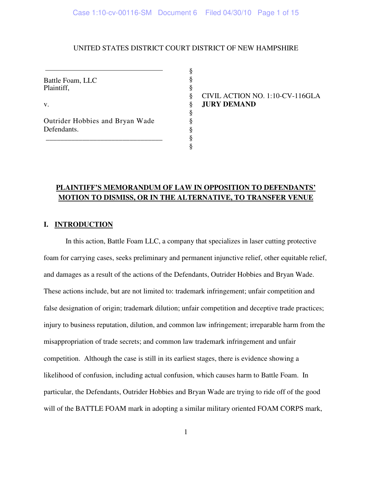## UNITED STATES DISTRICT COURT DISTRICT OF NEW HAMPSHIRE

§ § §

§ § § § §

Battle Foam, LLC Plaintiff,

v.

Outrider Hobbies and Bryan Wade Defendants.

\_\_\_\_\_\_\_\_\_\_\_\_\_\_\_\_\_\_\_\_\_\_\_\_\_\_\_\_\_\_\_\_

§ CIVIL ACTION NO. 1:10-CV-116GLA § **JURY DEMAND**

# **PLAINTIFF'S MEMORANDUM OF LAW IN OPPOSITION TO DEFENDANTS' MOTION TO DISMISS, OR IN THE ALTERNATIVE, TO TRANSFER VENUE**

## **I. INTRODUCTION**

In this action, Battle Foam LLC, a company that specializes in laser cutting protective foam for carrying cases, seeks preliminary and permanent injunctive relief, other equitable relief, and damages as a result of the actions of the Defendants, Outrider Hobbies and Bryan Wade. These actions include, but are not limited to: trademark infringement; unfair competition and false designation of origin; trademark dilution; unfair competition and deceptive trade practices; injury to business reputation, dilution, and common law infringement; irreparable harm from the misappropriation of trade secrets; and common law trademark infringement and unfair competition. Although the case is still in its earliest stages, there is evidence showing a likelihood of confusion, including actual confusion, which causes harm to Battle Foam. In particular, the Defendants, Outrider Hobbies and Bryan Wade are trying to ride off of the good will of the BATTLE FOAM mark in adopting a similar military oriented FOAM CORPS mark,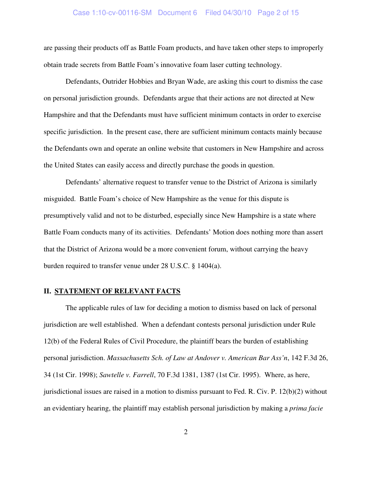### Case 1:10-cv-00116-SM Document 6 Filed 04/30/10 Page 2 of 15

are passing their products off as Battle Foam products, and have taken other steps to improperly obtain trade secrets from Battle Foam's innovative foam laser cutting technology.

Defendants, Outrider Hobbies and Bryan Wade, are asking this court to dismiss the case on personal jurisdiction grounds. Defendants argue that their actions are not directed at New Hampshire and that the Defendants must have sufficient minimum contacts in order to exercise specific jurisdiction. In the present case, there are sufficient minimum contacts mainly because the Defendants own and operate an online website that customers in New Hampshire and across the United States can easily access and directly purchase the goods in question.

Defendants' alternative request to transfer venue to the District of Arizona is similarly misguided. Battle Foam's choice of New Hampshire as the venue for this dispute is presumptively valid and not to be disturbed, especially since New Hampshire is a state where Battle Foam conducts many of its activities. Defendants' Motion does nothing more than assert that the District of Arizona would be a more convenient forum, without carrying the heavy burden required to transfer venue under 28 U.S.C. § 1404(a).

### **II. STATEMENT OF RELEVANT FACTS**

The applicable rules of law for deciding a motion to dismiss based on lack of personal jurisdiction are well established. When a defendant contests personal jurisdiction under Rule 12(b) of the Federal Rules of Civil Procedure, the plaintiff bears the burden of establishing personal jurisdiction. *Massachusetts Sch. of Law at Andover v. American Bar Ass'n*, 142 F.3d 26, 34 (1st Cir. 1998); *Sawtelle v. Farrell*, 70 F.3d 1381, 1387 (1st Cir. 1995). Where, as here, jurisdictional issues are raised in a motion to dismiss pursuant to Fed. R. Civ. P. 12(b)(2) without an evidentiary hearing, the plaintiff may establish personal jurisdiction by making a *prima facie*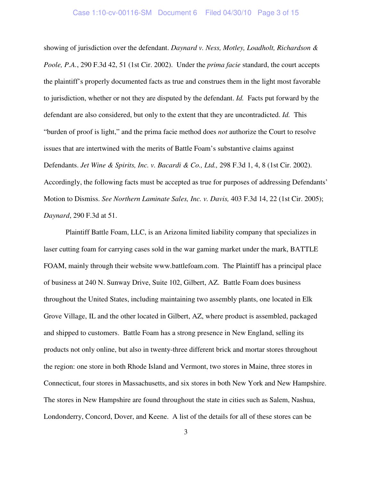### Case 1:10-cv-00116-SM Document 6 Filed 04/30/10 Page 3 of 15

showing of jurisdiction over the defendant. *Daynard v. Ness, Motley, Loadholt, Richardson & Poole, P.A.*, 290 F.3d 42, 51 (1st Cir. 2002). Under the *prima facie* standard, the court accepts the plaintiff's properly documented facts as true and construes them in the light most favorable to jurisdiction, whether or not they are disputed by the defendant. *Id.* Facts put forward by the defendant are also considered, but only to the extent that they are uncontradicted. *Id.* This "burden of proof is light," and the prima facie method does *not* authorize the Court to resolve issues that are intertwined with the merits of Battle Foam's substantive claims against Defendants. *Jet Wine & Spirits, Inc. v. Bacardi & Co., Ltd.,* 298 F.3d 1, 4, 8 (1st Cir. 2002). Accordingly, the following facts must be accepted as true for purposes of addressing Defendants' Motion to Dismiss. *See Northern Laminate Sales, Inc. v. Davis,* 403 F.3d 14, 22 (1st Cir. 2005); *Daynard*, 290 F.3d at 51.

Plaintiff Battle Foam, LLC, is an Arizona limited liability company that specializes in laser cutting foam for carrying cases sold in the war gaming market under the mark, BATTLE FOAM, mainly through their website www.battlefoam.com. The Plaintiff has a principal place of business at 240 N. Sunway Drive, Suite 102, Gilbert, AZ. Battle Foam does business throughout the United States, including maintaining two assembly plants, one located in Elk Grove Village, IL and the other located in Gilbert, AZ, where product is assembled, packaged and shipped to customers. Battle Foam has a strong presence in New England, selling its products not only online, but also in twenty-three different brick and mortar stores throughout the region: one store in both Rhode Island and Vermont, two stores in Maine, three stores in Connecticut, four stores in Massachusetts, and six stores in both New York and New Hampshire. The stores in New Hampshire are found throughout the state in cities such as Salem, Nashua, Londonderry, Concord, Dover, and Keene. A list of the details for all of these stores can be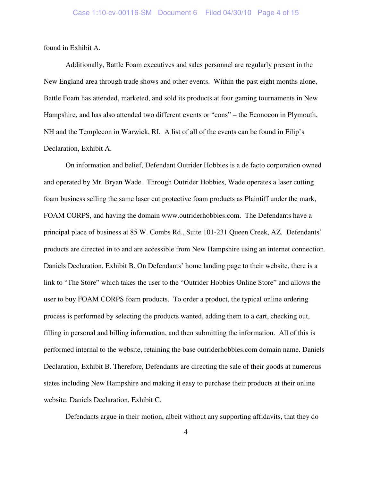found in Exhibit A.

Additionally, Battle Foam executives and sales personnel are regularly present in the New England area through trade shows and other events. Within the past eight months alone, Battle Foam has attended, marketed, and sold its products at four gaming tournaments in New Hampshire, and has also attended two different events or "cons" – the Econocon in Plymouth, NH and the Templecon in Warwick, RI. A list of all of the events can be found in Filip's Declaration, Exhibit A.

On information and belief, Defendant Outrider Hobbies is a de facto corporation owned and operated by Mr. Bryan Wade. Through Outrider Hobbies, Wade operates a laser cutting foam business selling the same laser cut protective foam products as Plaintiff under the mark, FOAM CORPS, and having the domain www.outriderhobbies.com. The Defendants have a principal place of business at 85 W. Combs Rd., Suite 101-231 Queen Creek, AZ. Defendants' products are directed in to and are accessible from New Hampshire using an internet connection. Daniels Declaration, Exhibit B. On Defendants' home landing page to their website, there is a link to "The Store" which takes the user to the "Outrider Hobbies Online Store" and allows the user to buy FOAM CORPS foam products. To order a product, the typical online ordering process is performed by selecting the products wanted, adding them to a cart, checking out, filling in personal and billing information, and then submitting the information. All of this is performed internal to the website, retaining the base outriderhobbies.com domain name. Daniels Declaration, Exhibit B. Therefore, Defendants are directing the sale of their goods at numerous states including New Hampshire and making it easy to purchase their products at their online website. Daniels Declaration, Exhibit C.

Defendants argue in their motion, albeit without any supporting affidavits, that they do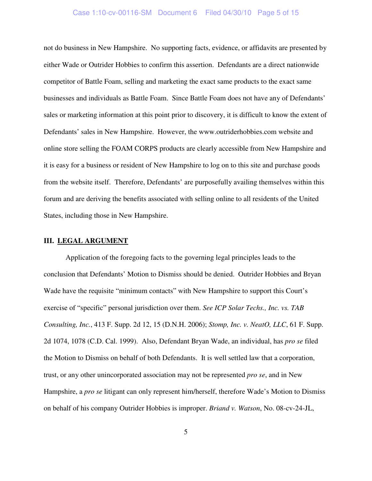### Case 1:10-cv-00116-SM Document 6 Filed 04/30/10 Page 5 of 15

not do business in New Hampshire. No supporting facts, evidence, or affidavits are presented by either Wade or Outrider Hobbies to confirm this assertion. Defendants are a direct nationwide competitor of Battle Foam, selling and marketing the exact same products to the exact same businesses and individuals as Battle Foam. Since Battle Foam does not have any of Defendants' sales or marketing information at this point prior to discovery, it is difficult to know the extent of Defendants' sales in New Hampshire. However, the www.outriderhobbies.com website and online store selling the FOAM CORPS products are clearly accessible from New Hampshire and it is easy for a business or resident of New Hampshire to log on to this site and purchase goods from the website itself. Therefore, Defendants' are purposefully availing themselves within this forum and are deriving the benefits associated with selling online to all residents of the United States, including those in New Hampshire.

#### **III. LEGAL ARGUMENT**

Application of the foregoing facts to the governing legal principles leads to the conclusion that Defendants' Motion to Dismiss should be denied. Outrider Hobbies and Bryan Wade have the requisite "minimum contacts" with New Hampshire to support this Court's exercise of "specific" personal jurisdiction over them. *See ICP Solar Techs., Inc. vs. TAB Consulting, Inc.*, 413 F. Supp. 2d 12, 15 (D.N.H. 2006); *Stomp, Inc. v. NeatO, LLC*, 61 F. Supp. 2d 1074, 1078 (C.D. Cal. 1999). Also, Defendant Bryan Wade, an individual, has *pro se* filed the Motion to Dismiss on behalf of both Defendants. It is well settled law that a corporation, trust, or any other unincorporated association may not be represented *pro se*, and in New Hampshire, a *pro se* litigant can only represent him/herself, therefore Wade's Motion to Dismiss on behalf of his company Outrider Hobbies is improper. *Briand v. Watson*, No. 08-cv-24-JL,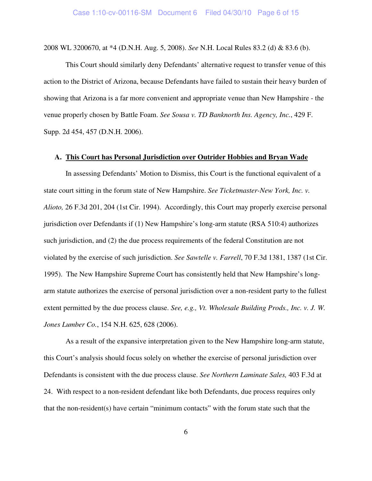2008 WL 3200670, at \*4 (D.N.H. Aug. 5, 2008). *See* N.H. Local Rules 83.2 (d) & 83.6 (b).

This Court should similarly deny Defendants' alternative request to transfer venue of this action to the District of Arizona, because Defendants have failed to sustain their heavy burden of showing that Arizona is a far more convenient and appropriate venue than New Hampshire - the venue properly chosen by Battle Foam. *See Sousa v. TD Banknorth Ins. Agency, Inc.*, 429 F. Supp. 2d 454, 457 (D.N.H. 2006).

### **A. This Court has Personal Jurisdiction over Outrider Hobbies and Bryan Wade**

In assessing Defendants' Motion to Dismiss, this Court is the functional equivalent of a state court sitting in the forum state of New Hampshire. *See Ticketmaster-New York, Inc. v. Alioto,* 26 F.3d 201, 204 (1st Cir. 1994). Accordingly, this Court may properly exercise personal jurisdiction over Defendants if (1) New Hampshire's long-arm statute (RSA 510:4) authorizes such jurisdiction, and (2) the due process requirements of the federal Constitution are not violated by the exercise of such jurisdiction. *See Sawtelle v. Farrell*, 70 F.3d 1381, 1387 (1st Cir. 1995). The New Hampshire Supreme Court has consistently held that New Hampshire's longarm statute authorizes the exercise of personal jurisdiction over a non-resident party to the fullest extent permitted by the due process clause. *See, e.g., Vt. Wholesale Building Prods., Inc. v. J. W. Jones Lumber Co.*, 154 N.H. 625, 628 (2006).

As a result of the expansive interpretation given to the New Hampshire long-arm statute, this Court's analysis should focus solely on whether the exercise of personal jurisdiction over Defendants is consistent with the due process clause. *See Northern Laminate Sales,* 403 F.3d at 24. With respect to a non-resident defendant like both Defendants, due process requires only that the non-resident(s) have certain "minimum contacts" with the forum state such that the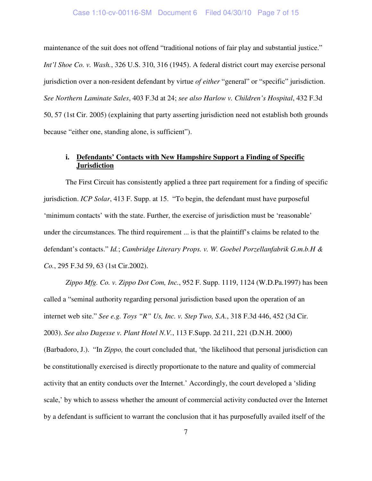#### Case 1:10-cv-00116-SM Document 6 Filed 04/30/10 Page 7 of 15

maintenance of the suit does not offend "traditional notions of fair play and substantial justice." *Int'l Shoe Co. v. Wash.*, 326 U.S. 310, 316 (1945). A federal district court may exercise personal jurisdiction over a non-resident defendant by virtue *of either* "general" or "specific" jurisdiction. *See Northern Laminate Sales*, 403 F.3d at 24; *see also Harlow v. Children's Hospital*, 432 F.3d 50, 57 (1st Cir. 2005) (explaining that party asserting jurisdiction need not establish both grounds because "either one, standing alone, is sufficient").

## **i. Defendants' Contacts with New Hampshire Support a Finding of Specific Jurisdiction**

The First Circuit has consistently applied a three part requirement for a finding of specific jurisdiction. *ICP Solar*, 413 F. Supp. at 15. "To begin, the defendant must have purposeful 'minimum contacts' with the state. Further, the exercise of jurisdiction must be 'reasonable' under the circumstances. The third requirement ... is that the plaintiff's claims be related to the defendant's contacts." *Id.*; *Cambridge Literary Props. v. W. Goebel Porzellanfabrik G.m.b.H & Co.*, 295 F.3d 59, 63 (1st Cir.2002).

*Zippo Mfg. Co. v. Zippo Dot Com, Inc.*, 952 F. Supp. 1119, 1124 (W.D.Pa.1997) has been called a "seminal authority regarding personal jurisdiction based upon the operation of an internet web site." *See e.g. Toys "R" Us, Inc. v. Step Two, S.A.*, 318 F.3d 446, 452 (3d Cir. 2003). *See also Dagesse v. Plant Hotel N.V.*, 113 F.Supp. 2d 211, 221 (D.N.H. 2000) (Barbadoro, J.). "In *Zippo,* the court concluded that, 'the likelihood that personal jurisdiction can be constitutionally exercised is directly proportionate to the nature and quality of commercial activity that an entity conducts over the Internet.' Accordingly, the court developed a 'sliding scale,' by which to assess whether the amount of commercial activity conducted over the Internet by a defendant is sufficient to warrant the conclusion that it has purposefully availed itself of the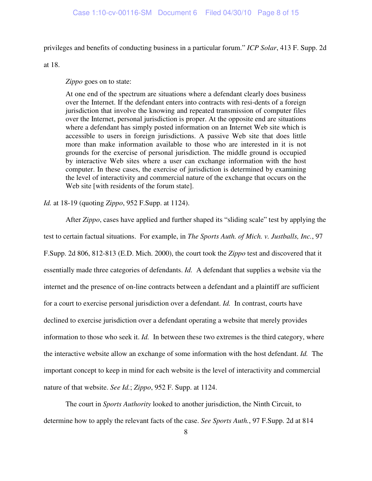privileges and benefits of conducting business in a particular forum." *ICP Solar*, 413 F. Supp. 2d

at 18.

*Zippo* goes on to state:

At one end of the spectrum are situations where a defendant clearly does business over the Internet. If the defendant enters into contracts with resi-dents of a foreign jurisdiction that involve the knowing and repeated transmission of computer files over the Internet, personal jurisdiction is proper. At the opposite end are situations where a defendant has simply posted information on an Internet Web site which is accessible to users in foreign jurisdictions. A passive Web site that does little more than make information available to those who are interested in it is not grounds for the exercise of personal jurisdiction. The middle ground is occupied by interactive Web sites where a user can exchange information with the host computer. In these cases, the exercise of jurisdiction is determined by examining the level of interactivity and commercial nature of the exchange that occurs on the Web site [with residents of the forum state].

*Id.* at 18-19 (quoting *Zippo*, 952 F.Supp. at 1124).

After *Zippo*, cases have applied and further shaped its "sliding scale" test by applying the test to certain factual situations. For example, in *The Sports Auth. of Mich. v. Justballs, Inc.*, 97 F.Supp. 2d 806, 812-813 (E.D. Mich. 2000), the court took the *Zippo* test and discovered that it essentially made three categories of defendants. *Id.* A defendant that supplies a website via the internet and the presence of on-line contracts between a defendant and a plaintiff are sufficient for a court to exercise personal jurisdiction over a defendant. *Id.* In contrast, courts have declined to exercise jurisdiction over a defendant operating a website that merely provides information to those who seek it. *Id.* In between these two extremes is the third category, where the interactive website allow an exchange of some information with the host defendant. *Id.* The important concept to keep in mind for each website is the level of interactivity and commercial nature of that website. *See Id.*; *Zippo*, 952 F. Supp. at 1124.

The court in *Sports Authority* looked to another jurisdiction, the Ninth Circuit, to determine how to apply the relevant facts of the case. *See Sports Auth.*, 97 F.Supp. 2d at 814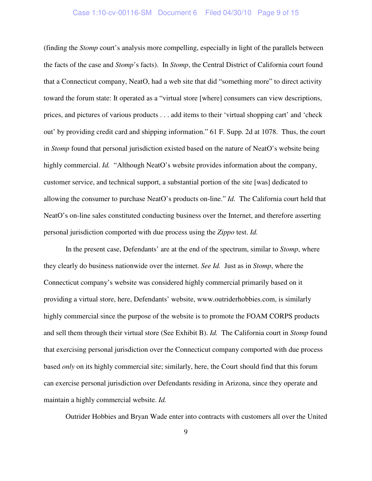## Case 1:10-cv-00116-SM Document 6 Filed 04/30/10 Page 9 of 15

(finding the *Stomp* court's analysis more compelling, especially in light of the parallels between the facts of the case and *Stomp*'s facts). In *Stomp*, the Central District of California court found that a Connecticut company, NeatO, had a web site that did "something more" to direct activity toward the forum state: It operated as a "virtual store [where] consumers can view descriptions, prices, and pictures of various products . . . add items to their 'virtual shopping cart' and 'check out' by providing credit card and shipping information." 61 F. Supp. 2d at 1078. Thus, the court in *Stomp* found that personal jurisdiction existed based on the nature of NeatO's website being highly commercial. *Id.* "Although NeatO's website provides information about the company, customer service, and technical support, a substantial portion of the site [was] dedicated to allowing the consumer to purchase NeatO's products on-line." *Id.* The California court held that NeatO's on-line sales constituted conducting business over the Internet, and therefore asserting personal jurisdiction comported with due process using the *Zippo* test. *Id.*

In the present case, Defendants' are at the end of the spectrum, similar to *Stomp*, where they clearly do business nationwide over the internet. *See Id.* Just as in *Stomp*, where the Connecticut company's website was considered highly commercial primarily based on it providing a virtual store, here, Defendants' website, www.outriderhobbies.com, is similarly highly commercial since the purpose of the website is to promote the FOAM CORPS products and sell them through their virtual store (See Exhibit B). *Id.* The California court in *Stomp* found that exercising personal jurisdiction over the Connecticut company comported with due process based *only* on its highly commercial site; similarly, here, the Court should find that this forum can exercise personal jurisdiction over Defendants residing in Arizona, since they operate and maintain a highly commercial website. *Id.*

Outrider Hobbies and Bryan Wade enter into contracts with customers all over the United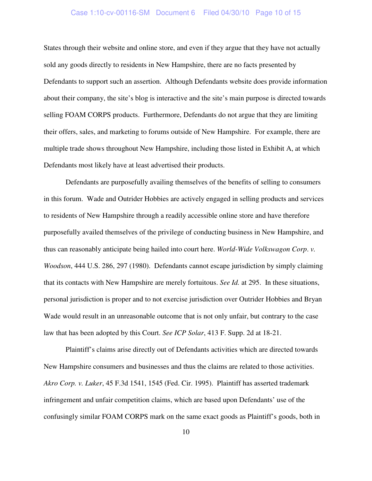## Case 1:10-cv-00116-SM Document 6 Filed 04/30/10 Page 10 of 15

States through their website and online store, and even if they argue that they have not actually sold any goods directly to residents in New Hampshire, there are no facts presented by Defendants to support such an assertion. Although Defendants website does provide information about their company, the site's blog is interactive and the site's main purpose is directed towards selling FOAM CORPS products. Furthermore, Defendants do not argue that they are limiting their offers, sales, and marketing to forums outside of New Hampshire. For example, there are multiple trade shows throughout New Hampshire, including those listed in Exhibit A, at which Defendants most likely have at least advertised their products.

Defendants are purposefully availing themselves of the benefits of selling to consumers in this forum. Wade and Outrider Hobbies are actively engaged in selling products and services to residents of New Hampshire through a readily accessible online store and have therefore purposefully availed themselves of the privilege of conducting business in New Hampshire, and thus can reasonably anticipate being hailed into court here. *World-Wide Volkswagon Corp*. *v. Woodson*, 444 U.S. 286, 297 (1980). Defendants cannot escape jurisdiction by simply claiming that its contacts with New Hampshire are merely fortuitous. *See Id.* at 295. In these situations, personal jurisdiction is proper and to not exercise jurisdiction over Outrider Hobbies and Bryan Wade would result in an unreasonable outcome that is not only unfair, but contrary to the case law that has been adopted by this Court. *See ICP Solar*, 413 F. Supp. 2d at 18-21.

Plaintiff's claims arise directly out of Defendants activities which are directed towards New Hampshire consumers and businesses and thus the claims are related to those activities. *Akro Corp. v. Luker*, 45 F.3d 1541, 1545 (Fed. Cir. 1995). Plaintiff has asserted trademark infringement and unfair competition claims, which are based upon Defendants' use of the confusingly similar FOAM CORPS mark on the same exact goods as Plaintiff's goods, both in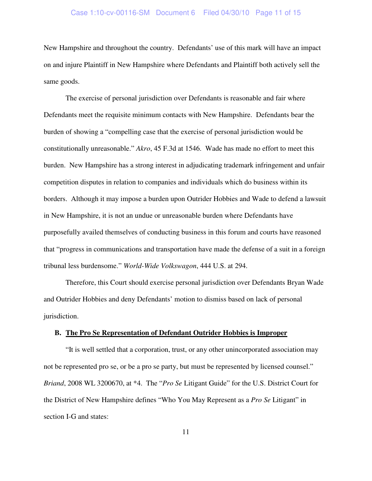## Case 1:10-cv-00116-SM Document 6 Filed 04/30/10 Page 11 of 15

New Hampshire and throughout the country. Defendants' use of this mark will have an impact on and injure Plaintiff in New Hampshire where Defendants and Plaintiff both actively sell the same goods.

The exercise of personal jurisdiction over Defendants is reasonable and fair where Defendants meet the requisite minimum contacts with New Hampshire. Defendants bear the burden of showing a "compelling case that the exercise of personal jurisdiction would be constitutionally unreasonable." *Akro*, 45 F.3d at 1546. Wade has made no effort to meet this burden. New Hampshire has a strong interest in adjudicating trademark infringement and unfair competition disputes in relation to companies and individuals which do business within its borders. Although it may impose a burden upon Outrider Hobbies and Wade to defend a lawsuit in New Hampshire, it is not an undue or unreasonable burden where Defendants have purposefully availed themselves of conducting business in this forum and courts have reasoned that "progress in communications and transportation have made the defense of a suit in a foreign tribunal less burdensome." *World-Wide Volkswagon*, 444 U.S. at 294.

Therefore, this Court should exercise personal jurisdiction over Defendants Bryan Wade and Outrider Hobbies and deny Defendants' motion to dismiss based on lack of personal jurisdiction.

### **B. The Pro Se Representation of Defendant Outrider Hobbies is Improper**

"It is well settled that a corporation, trust, or any other unincorporated association may not be represented pro se, or be a pro se party, but must be represented by licensed counsel." *Briand*, 2008 WL 3200670, at \*4. The "*Pro Se* Litigant Guide" for the U.S. District Court for the District of New Hampshire defines "Who You May Represent as a *Pro Se* Litigant" in section I-G and states: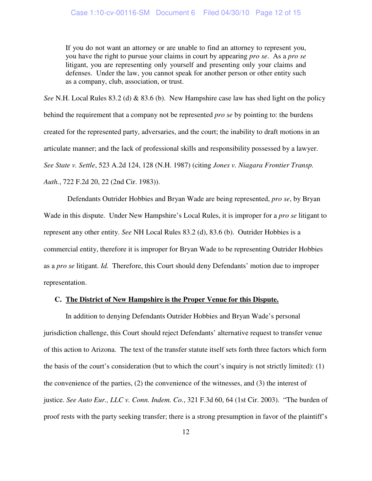If you do not want an attorney or are unable to find an attorney to represent you, you have the right to pursue your claims in court by appearing *pro se*. As a *pro se* litigant, you are representing only yourself and presenting only your claims and defenses. Under the law, you cannot speak for another person or other entity such as a company, club, association, or trust.

*See* N.H. Local Rules 83.2 (d) & 83.6 (b). New Hampshire case law has shed light on the policy behind the requirement that a company not be represented *pro se* by pointing to: the burdens created for the represented party, adversaries, and the court; the inability to draft motions in an articulate manner; and the lack of professional skills and responsibility possessed by a lawyer. *See State v. Settle*, 523 A.2d 124, 128 (N.H. 1987) (citing *Jones v. Niagara Frontier Transp. Auth.*, 722 F.2d 20, 22 (2nd Cir. 1983)).

 Defendants Outrider Hobbies and Bryan Wade are being represented, *pro se*, by Bryan Wade in this dispute. Under New Hampshire's Local Rules, it is improper for a *pro se* litigant to represent any other entity. *See* NH Local Rules 83.2 (d), 83.6 (b). Outrider Hobbies is a commercial entity, therefore it is improper for Bryan Wade to be representing Outrider Hobbies as a *pro se* litigant. *Id.* Therefore, this Court should deny Defendants' motion due to improper representation.

### **C. The District of New Hampshire is the Proper Venue for this Dispute.**

In addition to denying Defendants Outrider Hobbies and Bryan Wade's personal jurisdiction challenge, this Court should reject Defendants' alternative request to transfer venue of this action to Arizona. The text of the transfer statute itself sets forth three factors which form the basis of the court's consideration (but to which the court's inquiry is not strictly limited): (1) the convenience of the parties, (2) the convenience of the witnesses, and (3) the interest of justice. *See Auto Eur., LLC v. Conn. Indem. Co.*, 321 F.3d 60, 64 (1st Cir. 2003). "The burden of proof rests with the party seeking transfer; there is a strong presumption in favor of the plaintiff's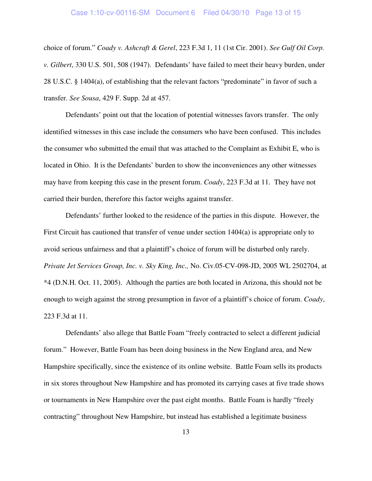## Case 1:10-cv-00116-SM Document 6 Filed 04/30/10 Page 13 of 15

choice of forum." *Coady v. Ashcraft & Gerel*, 223 F.3d 1, 11 (1st Cir. 2001). *See Gulf Oil Corp. v. Gilbert*, 330 U.S. 501, 508 (1947). Defendants' have failed to meet their heavy burden, under 28 U.S.C. § 1404(a), of establishing that the relevant factors "predominate" in favor of such a transfer. *See Sousa*, 429 F. Supp. 2d at 457.

Defendants' point out that the location of potential witnesses favors transfer. The only identified witnesses in this case include the consumers who have been confused. This includes the consumer who submitted the email that was attached to the Complaint as Exhibit E, who is located in Ohio. It is the Defendants' burden to show the inconveniences any other witnesses may have from keeping this case in the present forum. *Coady*, 223 F.3d at 11. They have not carried their burden, therefore this factor weighs against transfer.

Defendants' further looked to the residence of the parties in this dispute. However, the First Circuit has cautioned that transfer of venue under section 1404(a) is appropriate only to avoid serious unfairness and that a plaintiff's choice of forum will be disturbed only rarely. *Private Jet Services Group, Inc. v. Sky King, Inc.,* No. Civ.05-CV-098-JD, 2005 WL 2502704, at \*4 (D.N.H. Oct. 11, 2005). Although the parties are both located in Arizona, this should not be enough to weigh against the strong presumption in favor of a plaintiff's choice of forum. *Coady*, 223 F.3d at 11.

Defendants' also allege that Battle Foam "freely contracted to select a different judicial forum." However, Battle Foam has been doing business in the New England area, and New Hampshire specifically, since the existence of its online website. Battle Foam sells its products in six stores throughout New Hampshire and has promoted its carrying cases at five trade shows or tournaments in New Hampshire over the past eight months. Battle Foam is hardly "freely contracting" throughout New Hampshire, but instead has established a legitimate business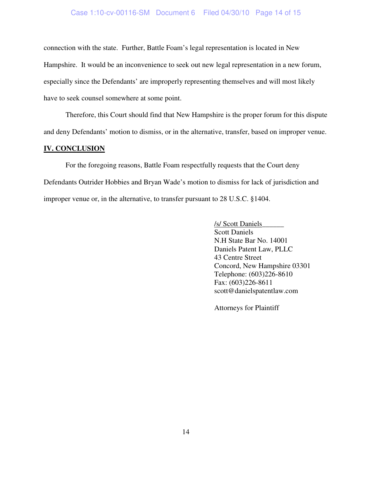## Case 1:10-cv-00116-SM Document 6 Filed 04/30/10 Page 14 of 15

connection with the state. Further, Battle Foam's legal representation is located in New Hampshire. It would be an inconvenience to seek out new legal representation in a new forum, especially since the Defendants' are improperly representing themselves and will most likely have to seek counsel somewhere at some point.

Therefore, this Court should find that New Hampshire is the proper forum for this dispute and deny Defendants' motion to dismiss, or in the alternative, transfer, based on improper venue.

### **IV. CONCLUSION**

For the foregoing reasons, Battle Foam respectfully requests that the Court deny Defendants Outrider Hobbies and Bryan Wade's motion to dismiss for lack of jurisdiction and improper venue or, in the alternative, to transfer pursuant to 28 U.S.C. §1404.

> /s/ Scott Daniels \_\_\_\_\_\_ Scott Daniels N.H State Bar No. 14001 Daniels Patent Law, PLLC 43 Centre Street Concord, New Hampshire 03301 Telephone: (603)226-8610 Fax: (603)226-8611 scott@danielspatentlaw.com

Attorneys for Plaintiff